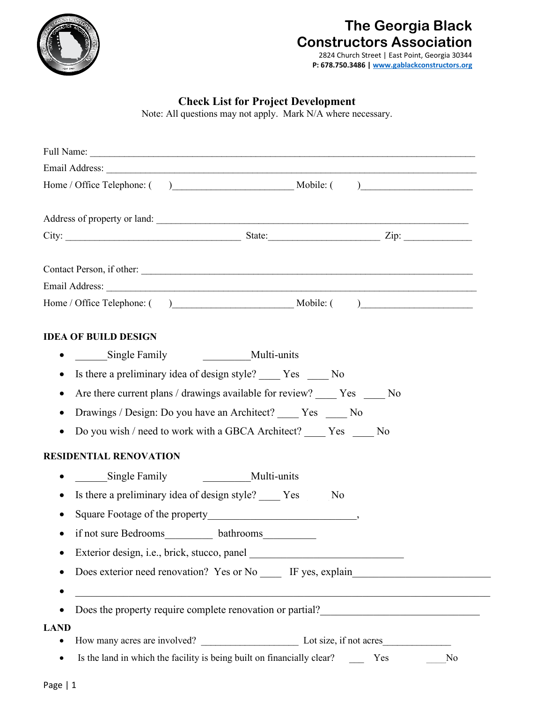

# **The Georgia Black Constructors Association**

2824 Church Street | East Point, Georgia 30344 **P: 678.750.3486 [| www.gablackconstructors.org](http://www.gablackconstructors.org/)**

# **Check List for Project Development**

Note: All questions may not apply. Mark N/A where necessary.

|             | Address of property or land:                                                                                                        |
|-------------|-------------------------------------------------------------------------------------------------------------------------------------|
|             |                                                                                                                                     |
|             | Contact Person, if other:                                                                                                           |
|             |                                                                                                                                     |
|             |                                                                                                                                     |
|             | <b>IDEA OF BUILD DESIGN</b>                                                                                                         |
|             | Multi-units<br>• Single Family                                                                                                      |
| $\bullet$   | Is there a preliminary idea of design style? No No                                                                                  |
| $\bullet$   | Are there current plans / drawings available for review? _____ Yes _____ No                                                         |
|             | Drawings / Design: Do you have an Architect? _____ Yes _____ No                                                                     |
| $\bullet$   | Do you wish / need to work with a GBCA Architect? _____ Yes _____ No                                                                |
|             | <b>RESIDENTIAL RENOVATION</b>                                                                                                       |
|             | Single Family<br>Multi-units                                                                                                        |
|             | Is there a preliminary idea of design style? _____ Yes _____ No                                                                     |
|             |                                                                                                                                     |
|             | if not sure Bedrooms____________ bathrooms_____________                                                                             |
|             |                                                                                                                                     |
|             | Does exterior need renovation? Yes or No IF yes, explain                                                                            |
|             |                                                                                                                                     |
|             | Does the property require complete renovation or partial?<br><u>Letter and the property require complete renovation or partial?</u> |
| <b>LAND</b> |                                                                                                                                     |
|             |                                                                                                                                     |
|             | Is the land in which the facility is being built on financially clear? Yes<br>No                                                    |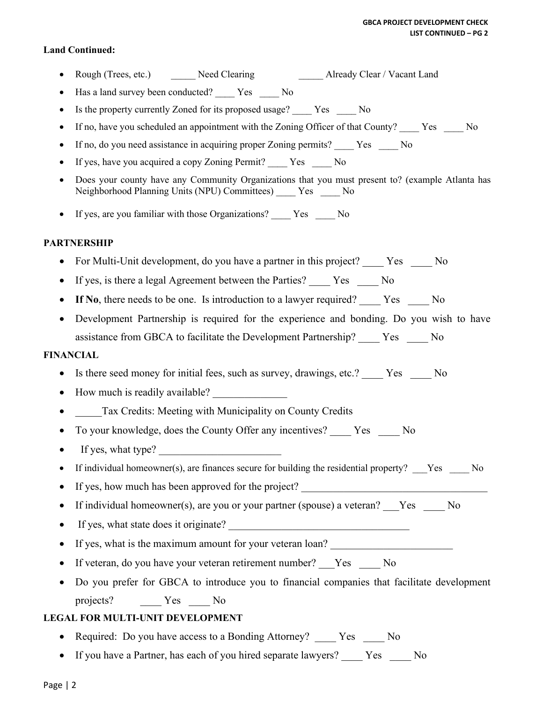#### **Land Continued:**

- Prough (Trees, etc.) Meed Clearing Already Clear / Vacant Land
- Has a land survey been conducted? \_\_\_\_\_ Yes \_\_\_\_\_ No
- Is the property currently Zoned for its proposed usage? Yes No
- If no, have you scheduled an appointment with the Zoning Officer of that County? \_\_\_\_ Yes \_\_\_\_ No
- If no, do you need assistance in acquiring proper Zoning permits? Yes No
- If yes, have you acquired a copy Zoning Permit? Yes No
- Does your county have any Community Organizations that you must present to? (example Atlanta has Neighborhood Planning Units (NPU) Committees) \_\_\_\_ Yes \_\_\_\_ No
- If yes, are you familiar with those Organizations? Yes No

### **PARTNERSHIP**

- For Multi-Unit development, do you have a partner in this project? Yes No
- If yes, is there a legal Agreement between the Parties? Yes No
- If No, there needs to be one. Is introduction to a lawyer required? Yes No
- Development Partnership is required for the experience and bonding. Do you wish to have assistance from GBCA to facilitate the Development Partnership? \_\_\_\_ Yes \_\_\_\_ No

#### **FINANCIAL**

- Is there seed money for initial fees, such as survey, drawings, etc.? Yes No
- How much is readily available?
- Tax Credits: Meeting with Municipality on County Credits
- To your knowledge, does the County Offer any incentives? Yes No
- If yes, what type?
- If individual homeowner(s), are finances secure for building the residential property? Yes No
- If yes, how much has been approved for the project?
- If individual homeowner(s), are you or your partner (spouse) a veteran? Yes No
- If yes, what state does it originate?
- If yes, what is the maximum amount for your veteran loan?
- If veteran, do you have your veteran retirement number? Yes No
- Do you prefer for GBCA to introduce you to financial companies that facilitate development projects? \_\_\_\_ Yes \_\_\_\_ No

## **LEGAL FOR MULTI-UNIT DEVELOPMENT**

- Required: Do you have access to a Bonding Attorney? Yes No
- If you have a Partner, has each of you hired separate lawyers? Yes No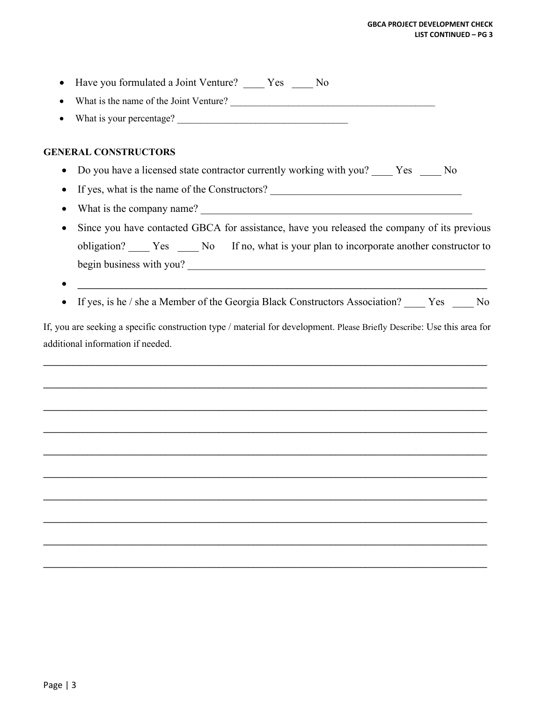| Have you formulated a Joint Venture? _____ Yes _____ No                                                                                                      |
|--------------------------------------------------------------------------------------------------------------------------------------------------------------|
| What is the name of the Joint Venture?<br><u> </u>                                                                                                           |
| What is your percentage?                                                                                                                                     |
|                                                                                                                                                              |
| <b>GENERAL CONSTRUCTORS</b>                                                                                                                                  |
| Do you have a licensed state contractor currently working with you? _____ Yes _____ No                                                                       |
| If yes, what is the name of the Constructors? __________________________________<br>٠                                                                        |
| ٠                                                                                                                                                            |
| Since you have contacted GBCA for assistance, have you released the company of its previous                                                                  |
| obligation? _____ Yes _____ No If no, what is your plan to incorporate another constructor to                                                                |
| begin business with you?                                                                                                                                     |
|                                                                                                                                                              |
| If yes, is he / she a Member of the Georgia Black Constructors Association? _____ Yes _____ No                                                               |
|                                                                                                                                                              |
| If, you are seeking a specific construction type / material for development. Please Briefly Describe: Use this area for<br>additional information if needed. |
|                                                                                                                                                              |
|                                                                                                                                                              |
|                                                                                                                                                              |
|                                                                                                                                                              |
|                                                                                                                                                              |
|                                                                                                                                                              |
|                                                                                                                                                              |
|                                                                                                                                                              |
|                                                                                                                                                              |
|                                                                                                                                                              |
|                                                                                                                                                              |
|                                                                                                                                                              |

**\_\_\_\_\_\_\_\_\_\_\_\_\_\_\_\_\_\_\_\_\_\_\_\_\_\_\_\_\_\_\_\_\_\_\_\_\_\_\_\_\_\_\_\_\_\_\_\_\_\_\_\_\_\_\_\_\_\_\_\_\_\_\_\_\_\_\_\_\_\_\_\_\_\_\_\_\_\_\_\_\_\_\_\_\_\_\_\_\_\_\_**